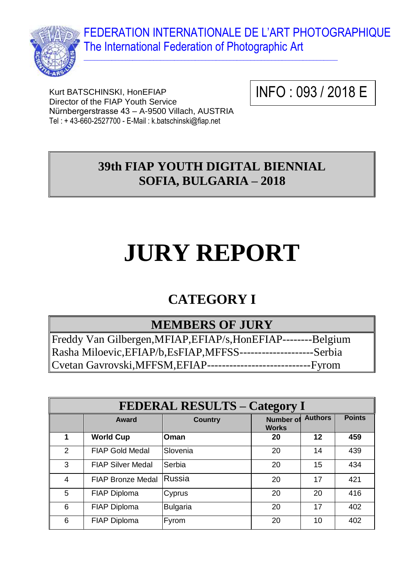FEDERATION INTERNATIONALE DE L'ART PHOTOGRAPHIQUE The International Federation of Photographic Art



Kurt BATSCHINSKI, HonEFIAP Director of the FIAP Youth Service Nürnbergerstrasse 43 – A-9500 Villach, AUSTRIA Tel : + 43-660-2527700 - E-Mail : k.batschinski@fiap.net

INFO : 093 / 2018 E

093E

### **39th FIAP YOUTH DIGITAL BIENNIAL SOFIA, BULGARIA – 2018**

 $\_$  , and the set of the set of the set of the set of the set of the set of the set of the set of the set of the set of the set of the set of the set of the set of the set of the set of the set of the set of the set of th

# **JURY REPORT**

## **CATEGORY I**

#### **MEMBERS OF JURY**

Freddy Van Gilbergen,MFIAP,EFIAP/s,HonEFIAP--------Belgium Rasha Miloevic,EFIAP/b,EsFIAP,MFFSS--------------------Serbia Cvetan Gavrovski,MFFSM,EFIAP----------------------------Fyrom

| <b>FEDERAL RESULTS - Category I</b> |                          |                 |                                  |                |               |
|-------------------------------------|--------------------------|-----------------|----------------------------------|----------------|---------------|
|                                     | Award                    | <b>Country</b>  | <b>Number of</b><br><b>Works</b> | <b>Authors</b> | <b>Points</b> |
| 1                                   | <b>World Cup</b>         | Oman            | 20                               | 12             | 459           |
| 2                                   | <b>FIAP Gold Medal</b>   | Slovenia        | 20                               | 14             | 439           |
| 3                                   | <b>FIAP Silver Medal</b> | Serbia          | 20                               | 15             | 434           |
| $\overline{4}$                      | <b>FIAP Bronze Medal</b> | Russia          | 20                               | 17             | 421           |
| 5                                   | <b>FIAP Diploma</b>      | Cyprus          | 20                               | 20             | 416           |
| 6                                   | FIAP Diploma             | <b>Bulgaria</b> | 20                               | 17             | 402           |
| 6                                   | <b>FIAP Diploma</b>      | Fyrom           | 20                               | 10             | 402           |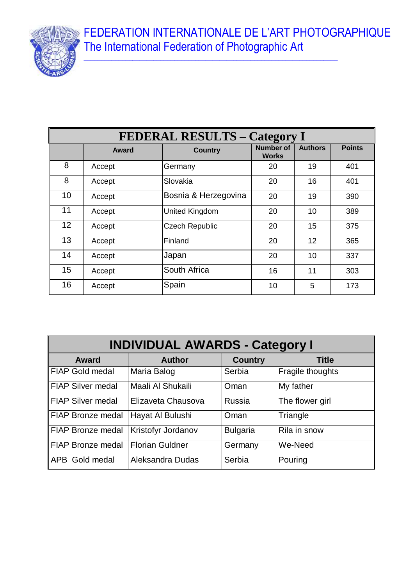FEDERATION INTERNATIONALE DE L'ART PHOTOGRAPHIQUE The International Federation of Photographic Art

 $\_$  , and the set of the set of the set of the set of the set of the set of the set of the set of the set of the set of the set of the set of the set of the set of the set of the set of the set of the set of the set of th



| <b>FEDERAL RESULTS - Category I</b> |              |                       |                                  |                   |               |  |
|-------------------------------------|--------------|-----------------------|----------------------------------|-------------------|---------------|--|
|                                     | <b>Award</b> | <b>Country</b>        | <b>Number of</b><br><b>Works</b> | <b>Authors</b>    | <b>Points</b> |  |
| 8                                   | Accept       | Germany               | 20                               | 19                | 401           |  |
| 8                                   | Accept       | Slovakia              | 20                               | 16                | 401           |  |
| 10                                  | Accept       | Bosnia & Herzegovina  | 20                               | 19                | 390           |  |
| 11                                  | Accept       | <b>United Kingdom</b> | 20                               | 10                | 389           |  |
| 12 <sup>2</sup>                     | Accept       | <b>Czech Republic</b> | 20                               | 15                | 375           |  |
| 13                                  | Accept       | Finland               | 20                               | $12 \overline{ }$ | 365           |  |
| 14                                  | Accept       | Japan                 | 20                               | 10                | 337           |  |
| 15                                  | Accept       | South Africa          | 16                               | 11                | 303           |  |
| 16                                  | Accept       | Spain                 | 10                               | 5                 | 173           |  |

| <b>INDIVIDUAL AWARDS - Category I</b> |                           |                 |                  |  |
|---------------------------------------|---------------------------|-----------------|------------------|--|
| <b>Award</b>                          | <b>Author</b>             | <b>Country</b>  | <b>Title</b>     |  |
| <b>FIAP Gold medal</b>                | Maria Balog               | Serbia          | Fragile thoughts |  |
| <b>FIAP Silver medal</b>              | Maali Al Shukaili         | Oman            | My father        |  |
| <b>FIAP Silver medal</b>              | Elizaveta Chausova        | Russia          | The flower girl  |  |
| FIAP Bronze medal                     | Hayat Al Bulushi          | Oman            | Triangle         |  |
| FIAP Bronze medal                     | <b>Kristofyr Jordanov</b> | <b>Bulgaria</b> | Rila in snow     |  |
| FIAP Bronze medal                     | <b>Florian Guldner</b>    | Germany         | We-Need          |  |
| APB Gold medal                        | Aleksandra Dudas          | Serbia          | Pouring          |  |